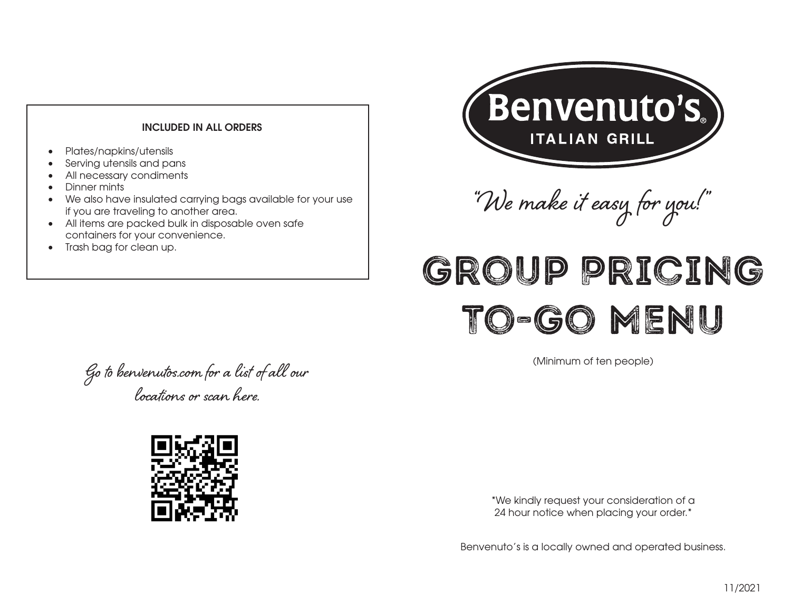# **INCLUDED IN ALL ORDERS Crispy Chicken Wrap -** Crispy chicken fingers, bacon, cheddar cheese and tomatoes with ranch

**Southwest Wrap -** Blackened chicken breast, bacon, tomatoes, cheddar cheese, peppers and

- **Call us at**  $\bullet$ • Plates/napkins/utensils
- Serving utensils and pans
- All necessary condiments<br>• Dipper mints  $\overline{a}$ 
	- Dinner mints

onions with zesty ranch dressing.

**•** We also have insulated carrying bags available for your use if you are traveling to another area.

**608.278.7800 Fitchburg**

- **608.241.1144 Madison** bacon, lettuce, tomato, mayo and dijon. containers for your convenience. • All items are packed bulk in disposable oven safe **Fig. 1**
- **(Delivery available)** Trash bag for clean up.**Hot Supreme -** A toasted Italian roll with ham, pepperoni, salami, melted mozzarella, lettuce,

tomato, red onion and Italian dressing.



"We make it easy for you! "

# MAILD DRTATN 0-GO MENI Group Pricing To-Go Menu

(Minimum of ten people)

**(Delivery available)** chips, peppers, tomatoes, onions, cheddar cheese, bacon and zesty ranch dressing. **608.826.0555 Middleton** locations or scan here. Go to benvenutos.com for a list of all our



24 hour notice when placing your order.\* \*We kindly request your consideration of a

**Henvenuto's is a log 920.887.7994 Hwy. 41 exit 9th Street** Benvenuto's is a locally owned and operated business.<br> **Benvenuto's**